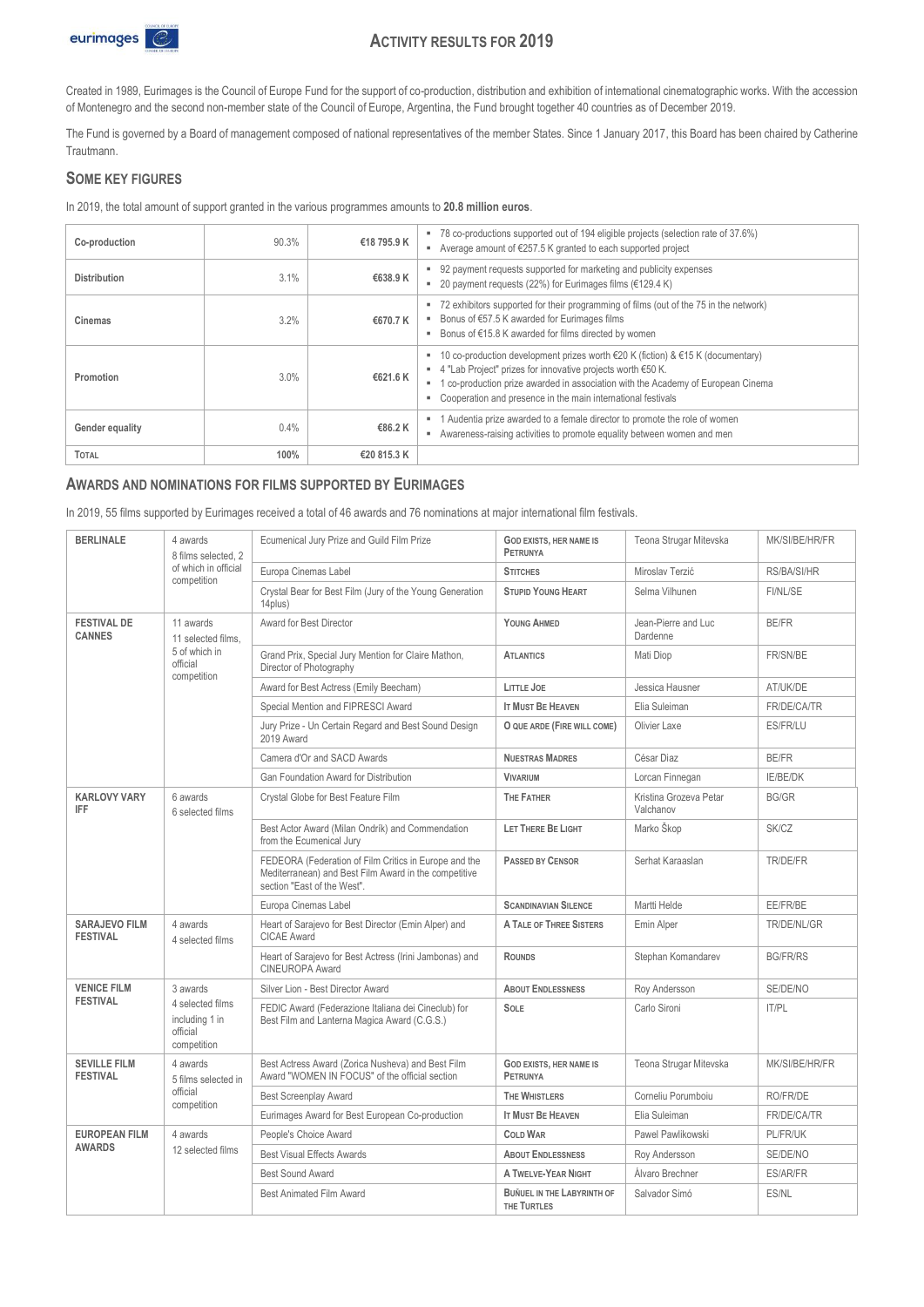

# **ACTIVITY RESULTS FOR 2019**

Created in 1989, Eurimages is the Council of Europe Fund for the support of co-production, distribution and exhibition of international cinematographic works. With the accession of Montenegro and the second non-member state of the Council of Europe, Argentina, the Fund brought together 40 countries as of December 2019.

The Fund is governed by a Board of management composed of national representatives of the member States. Since 1 January 2017, this Board has been chaired by Catherine Trautmann.

#### **SOME KEY FIGURES**

In 2019, the total amount of support granted in the various programmes amounts to **20.8 million euros**.

| Co-production       | 90.3% | €18 795.9 K | ■ 78 co-productions supported out of 194 eligible projects (selection rate of 37.6%)<br>Average amount of €257.5 K granted to each supported project<br>۰.                                                                                                                                              |
|---------------------|-------|-------------|---------------------------------------------------------------------------------------------------------------------------------------------------------------------------------------------------------------------------------------------------------------------------------------------------------|
| <b>Distribution</b> | 3.1%  | €638.9 K    | 92 payment requests supported for marketing and publicity expenses<br>20 payment requests (22%) for Eurimages films (€129.4 K)                                                                                                                                                                          |
| Cinemas             | 3.2%  | €670.7 K    | 72 exhibitors supported for their programming of films (out of the 75 in the network)<br>Bonus of €57.5 K awarded for Eurimages films<br>Bonus of €15.8 K awarded for films directed by women<br>٠                                                                                                      |
| Promotion           | 3.0%  | €621.6 K    | 10 co-production development prizes worth €20 K (fiction) & €15 K (documentary)<br>4 "Lab Project" prizes for innovative projects worth €50 K.<br>1 co-production prize awarded in association with the Academy of European Cinema<br>٠<br>Cooperation and presence in the main international festivals |
| Gender equality     | 0.4%  | €86.2 K     | 1 Audentia prize awarded to a female director to promote the role of women<br>Awareness-raising activities to promote equality between women and men                                                                                                                                                    |
| <b>TOTAL</b>        | 100%  | €20 815.3 K |                                                                                                                                                                                                                                                                                                         |

#### **AWARDS AND NOMINATIONS FOR FILMS SUPPORTED BY EURIMAGES**

In 2019, 55 films supported by Eurimages received a total of 46 awards and 76 nominations at major international film festivals.

| <b>BERLINALE</b><br>4 awards                                                     | 8 films selected, 2                                                                                                                           | Ecumenical Jury Prize and Guild Film Prize                                                          | <b>GOD EXISTS, HER NAME IS</b><br><b>PETRUNYA</b> | Teona Strugar Mitevska              | MK/SI/BE/HR/FR  |
|----------------------------------------------------------------------------------|-----------------------------------------------------------------------------------------------------------------------------------------------|-----------------------------------------------------------------------------------------------------|---------------------------------------------------|-------------------------------------|-----------------|
|                                                                                  | of which in official<br>competition                                                                                                           | Europa Cinemas Label                                                                                | <b>STITCHES</b>                                   | Miroslav Terzić                     | RS/BA/SI/HR     |
|                                                                                  |                                                                                                                                               | Crystal Bear for Best Film (Jury of the Young Generation<br>14plus)                                 | <b>STUPID YOUNG HEART</b>                         | Selma Vilhunen                      | FI/NL/SE        |
| <b>FESTIVAL DE</b><br><b>CANNES</b>                                              | 11 awards<br>11 selected films.                                                                                                               | Award for Best Director                                                                             | YOUNG AHMED                                       | Jean-Pierre and Luc<br>Dardenne     | <b>BE/FR</b>    |
|                                                                                  | 5 of which in<br>official<br>competition                                                                                                      | Grand Prix, Special Jury Mention for Claire Mathon,<br>Director of Photography                      | <b>ATLANTICS</b>                                  | Mati Diop                           | FR/SN/BE        |
|                                                                                  |                                                                                                                                               | Award for Best Actress (Emily Beecham)                                                              | LITTLE JOE                                        | Jessica Hausner                     | AT/UK/DE        |
|                                                                                  |                                                                                                                                               | Special Mention and FIPRESCI Award                                                                  | <b>IT MUST BE HEAVEN</b>                          | Elia Suleiman                       | FR/DE/CA/TR     |
|                                                                                  |                                                                                                                                               | Jury Prize - Un Certain Regard and Best Sound Design<br>2019 Award                                  | O QUE ARDE (FIRE WILL COME)                       | Olivier Laxe                        | <b>ES/FR/LU</b> |
|                                                                                  |                                                                                                                                               | Camera d'Or and SACD Awards                                                                         | <b>NUESTRAS MADRES</b>                            | César Diaz                          | <b>BE/FR</b>    |
|                                                                                  |                                                                                                                                               | Gan Foundation Award for Distribution                                                               | <b>VIVARIUM</b>                                   | Lorcan Finnegan                     | <b>IE/BE/DK</b> |
| <b>KARLOVY VARY</b><br><b>IFF</b>                                                | 6 awards<br>6 selected films                                                                                                                  | Crystal Globe for Best Feature Film                                                                 | <b>THE FATHER</b>                                 | Kristina Grozeva Petar<br>Valchanov | <b>BG/GR</b>    |
|                                                                                  |                                                                                                                                               | Best Actor Award (Milan Ondrík) and Commendation<br>from the Ecumenical Jury                        | LET THERE BE LIGHT                                | Marko Škop                          | <b>SK/CZ</b>    |
|                                                                                  | FEDEORA (Federation of Film Critics in Europe and the<br>Mediterranean) and Best Film Award in the competitive<br>section "East of the West". | PASSED BY CENSOR                                                                                    | Serhat Karaaslan                                  | TR/DE/FR                            |                 |
|                                                                                  |                                                                                                                                               | Europa Cinemas Label                                                                                | <b>SCANDINAVIAN SILENCE</b>                       | Martti Helde                        | EE/FR/BE        |
| <b>SARAJEVO FILM</b><br><b>FESTIVAL</b>                                          | 4 awards<br>4 selected films                                                                                                                  | Heart of Sarajevo for Best Director (Emin Alper) and<br><b>CICAE Award</b>                          | A TALE OF THREE SISTERS                           | Emin Alper                          | TR/DE/NL/GR     |
|                                                                                  |                                                                                                                                               | Heart of Sarajevo for Best Actress (Irini Jambonas) and<br><b>CINEUROPA Award</b>                   | <b>ROUNDS</b>                                     | Stephan Komandarev                  | <b>BG/FR/RS</b> |
| <b>VENICE FILM</b>                                                               | 3 awards                                                                                                                                      | Silver Lion - Best Director Award                                                                   | <b>ABOUT ENDLESSNESS</b>                          | Roy Andersson                       | SE/DE/NO        |
| <b>FESTIVAL</b><br>4 selected films<br>including 1 in<br>official<br>competition |                                                                                                                                               | FEDIC Award (Federazione Italiana dei Cineclub) for<br>Best Film and Lanterna Magica Award (C.G.S.) | <b>SOLE</b>                                       | Carlo Sironi                        | <b>IT/PL</b>    |
| <b>SEVILLE FILM</b><br><b>FESTIVAL</b>                                           | 4 awards<br>5 films selected in                                                                                                               | Best Actress Award (Zorica Nusheva) and Best Film<br>Award "WOMEN IN FOCUS" of the official section | <b>GOD EXISTS, HER NAME IS</b><br><b>PETRUNYA</b> | Teona Strugar Mitevska              | MK/SI/BE/HR/FR  |
| official<br>competition                                                          | <b>Best Screenplay Award</b>                                                                                                                  | <b>THE WHISTLERS</b>                                                                                | Corneliu Porumboiu                                | <b>RO/FR/DE</b>                     |                 |
|                                                                                  |                                                                                                                                               | Eurimages Award for Best European Co-production                                                     | <b>IT MUST BE HEAVEN</b>                          | Elia Suleiman                       | FR/DE/CA/TR     |
| <b>EUROPEAN FILM</b>                                                             | 4 awards                                                                                                                                      | People's Choice Award                                                                               | <b>COLD WAR</b>                                   | Pawel Pawlikowski                   | <b>PL/FR/UK</b> |
| <b>AWARDS</b>                                                                    | 12 selected films                                                                                                                             | <b>Best Visual Effects Awards</b>                                                                   | <b>ABOUT ENDLESSNESS</b>                          | Roy Andersson                       | SE/DE/NO        |
|                                                                                  |                                                                                                                                               | <b>Best Sound Award</b>                                                                             | A TWELVE-YEAR NIGHT                               | Álvaro Brechner                     | <b>ES/AR/FR</b> |
|                                                                                  |                                                                                                                                               | <b>Best Animated Film Award</b>                                                                     | <b>BUNUEL IN THE LABYRINTH OF</b><br>THE TURTLES  | Salvador Simó                       | ES/NL           |